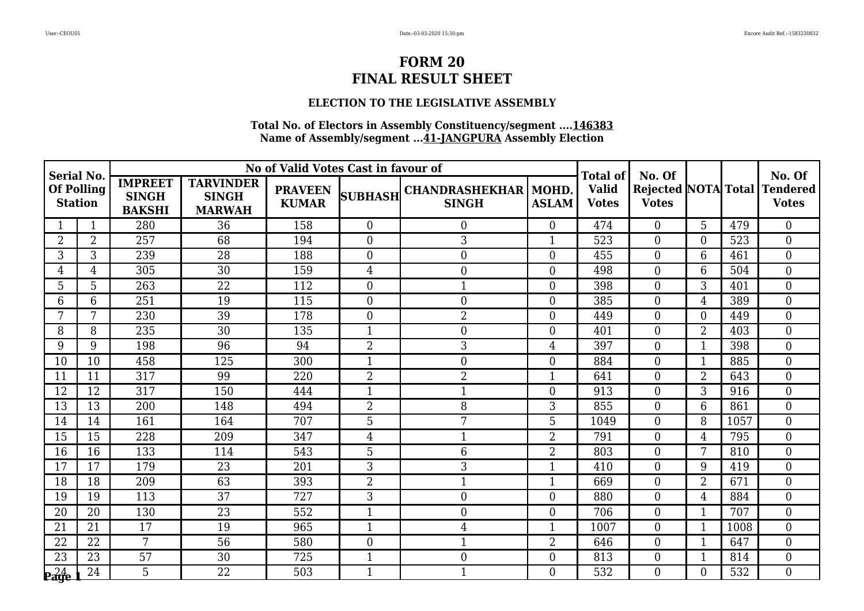### **ELECTION TO THE LEGISLATIVE ASSEMBLY**

| <b>Serial No.</b><br>Of Polling<br><b>Station</b> |                |                                                 |                                                   | No of Valid Votes Cast in favour of |                  |                                              |                | <b>Total of</b>              | No. Of           |                |      | No. Of                                       |
|---------------------------------------------------|----------------|-------------------------------------------------|---------------------------------------------------|-------------------------------------|------------------|----------------------------------------------|----------------|------------------------------|------------------|----------------|------|----------------------------------------------|
|                                                   |                | <b>IMPREET</b><br><b>SINGH</b><br><b>BAKSHI</b> | <b>TARVINDER</b><br><b>SINGH</b><br><b>MARWAH</b> | <b>PRAVEEN</b><br><b>KUMAR</b>      |                  | SUBHASH CHANDRASHEKHAR MOHD.<br><b>SINGH</b> | <b>ASLAM</b>   | <b>Valid</b><br><b>Votes</b> | <b>Votes</b>     |                |      | Rejected NOTA Total Tendered<br><b>Votes</b> |
|                                                   |                | 280                                             | 36                                                | 158                                 | $\overline{0}$   | 0                                            | $\overline{0}$ | 474                          | $\Omega$         | 5              | 479  | $\overline{0}$                               |
| $\overline{2}$                                    | $\overline{2}$ | 257                                             | 68                                                | 194                                 | $\overline{0}$   | 3                                            | -1             | 523                          | $\overline{0}$   | $\Omega$       | 523  | $\overline{0}$                               |
| 3                                                 | $\mathfrak{Z}$ | 239                                             | 28                                                | 188                                 | $\overline{0}$   | $\overline{0}$                               | $\Omega$       | 455                          | $\Omega$         | 6              | 461  | $\overline{0}$                               |
| 4                                                 | 4              | 305                                             | 30                                                | 159                                 | 4                | 0                                            | $\overline{0}$ | 498                          | $\overline{0}$   | 6              | 504  | $\overline{0}$                               |
| 5                                                 | 5              | 263                                             | 22                                                | 112                                 | $\overline{0}$   | 1                                            | $\Omega$       | 398                          | $\Omega$         | 3              | 401  | $\mathbf{0}$                                 |
| 6                                                 | 6              | 251                                             | 19                                                | 115                                 | $\boldsymbol{0}$ | $\boldsymbol{0}$                             | $\overline{0}$ | 385                          | $\overline{0}$   | 4              | 389  | $\boldsymbol{0}$                             |
| 7                                                 | 7              | 230                                             | 39                                                | 178                                 | $\boldsymbol{0}$ | 2                                            | $\overline{0}$ | 449                          | $\overline{0}$   | $\Omega$       | 449  | $\mathbf{0}$                                 |
| 8                                                 | 8              | 235                                             | 30                                                | 135                                 | 1                | $\overline{0}$                               | $\overline{0}$ | 401                          | $\overline{0}$   | $\overline{2}$ | 403  | $\overline{0}$                               |
| 9                                                 | 9              | 198                                             | 96                                                | 94                                  | $\overline{2}$   | 3                                            | 4              | 397                          | $\overline{0}$   | $\mathbf 1$    | 398  | $\mathbf{0}$                                 |
| 10                                                | 10             | 458                                             | 125                                               | 300                                 | $\mathbf{1}$     | 0                                            | $\overline{0}$ | 884                          | $\Omega$         | $\mathbf{1}$   | 885  | $\mathbf{0}$                                 |
| 11                                                | 11             | 317                                             | 99                                                | 220                                 | $\overline{2}$   | 2                                            | $\mathbf 1$    | 641                          | $\Omega$         | $\overline{2}$ | 643  | $\overline{0}$                               |
| 12                                                | 12             | 317                                             | 150                                               | 444                                 | $\mathbf{1}$     | $\mathbf{1}$                                 | $\overline{0}$ | 913                          | $\boldsymbol{0}$ | 3              | 916  | $\mathbf{0}$                                 |
| 13                                                | 13             | 200                                             | 148                                               | 494                                 | $\overline{2}$   | 8                                            | 3              | 855                          | $\Omega$         | 6              | 861  | $\overline{0}$                               |
| 14                                                | 14             | 161                                             | 164                                               | 707                                 | 5                | 7                                            | 5              | 1049                         | $\overline{0}$   | 8              | 1057 | $\mathbf{0}$                                 |
| 15                                                | 15             | 228                                             | 209                                               | 347                                 | 4                | $\mathbf{1}$                                 | $\overline{2}$ | 791                          | $\overline{0}$   | 4              | 795  | $\mathbf{0}$                                 |
| 16                                                | 16             | 133                                             | 114                                               | 543                                 | 5                | 6                                            | $\overline{2}$ | 803                          | $\Omega$         | 7              | 810  | $\boldsymbol{0}$                             |
| 17                                                | 17             | 179                                             | 23                                                | 201                                 | 3                | 3                                            | 1              | 410                          | $\Omega$         | 9              | 419  | $\mathbf{0}$                                 |
| 18                                                | 18             | 209                                             | 63                                                | 393                                 | $\overline{2}$   | $\mathbf{1}$                                 | $\mathbf 1$    | 669                          | $\overline{0}$   | $\overline{2}$ | 671  | $\overline{0}$                               |
| 19                                                | 19             | 113                                             | 37                                                | 727                                 | 3                | $\boldsymbol{0}$                             | $\overline{0}$ | 880                          | $\overline{0}$   | $\overline{4}$ | 884  | $\mathbf{0}$                                 |
| 20                                                | 20             | 130                                             | 23                                                | 552                                 | 1                | $\boldsymbol{0}$                             | $\Omega$       | 706                          | $\overline{0}$   | $\mathbf 1$    | 707  | $\boldsymbol{0}$                             |
| 21                                                | 21             | 17                                              | 19                                                | 965                                 | $\mathbf{1}$     | 4                                            | $\mathbf{1}$   | 1007                         | $\overline{0}$   |                | 1008 | $\overline{0}$                               |
| 22                                                | 22             | 7                                               | 56                                                | 580                                 | $\mathbf{0}$     | 1                                            | 2              | 646                          | $\overline{0}$   |                | 647  | $\mathbf{0}$                                 |
| 23                                                | 23             | 57                                              | 30                                                | 725                                 | $\mathbf{1}$     | $\boldsymbol{0}$                             | $\overline{0}$ | 813                          | $\overline{0}$   |                | 814  | $\boldsymbol{0}$                             |
| $\mathbf{p}^{24}_{\mathbf{age}}$                  | 24             | 5                                               | 22                                                | 503                                 | $\mathbf{1}$     | $\mathbf{1}$                                 | 0              | 532                          | 0                | $\Omega$       | 532  | $\theta$                                     |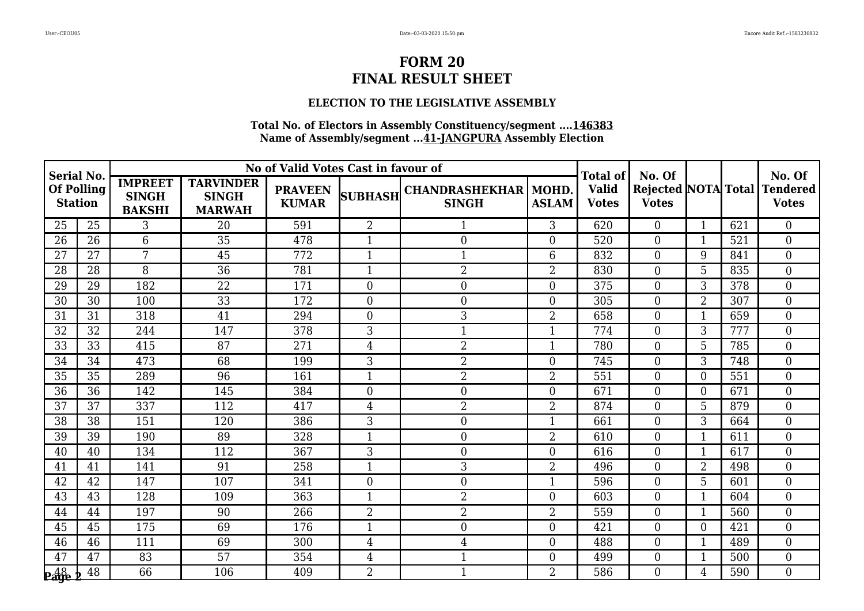### **ELECTION TO THE LEGISLATIVE ASSEMBLY**

| <b>Serial No.</b><br><b>Of Polling</b><br><b>Station</b> |    |                                                 |                                                   | No of Valid Votes Cast in favour of |                |                                              |                | <b>Total of</b>              | No. Of           |                |     | No. Of                                            |
|----------------------------------------------------------|----|-------------------------------------------------|---------------------------------------------------|-------------------------------------|----------------|----------------------------------------------|----------------|------------------------------|------------------|----------------|-----|---------------------------------------------------|
|                                                          |    | <b>IMPREET</b><br><b>SINGH</b><br><b>BAKSHI</b> | <b>TARVINDER</b><br><b>SINGH</b><br><b>MARWAH</b> | <b>PRAVEEN</b><br><b>KUMAR</b>      |                | SUBHASH CHANDRASHEKHAR MOHD.<br><b>SINGH</b> | <b>ASLAM</b>   | <b>Valid</b><br><b>Votes</b> | <b>Votes</b>     |                |     | Rejected   NOTA  Total   Tendered<br><b>Votes</b> |
| 25                                                       | 25 | 3                                               | 20                                                | 591                                 | $\overline{2}$ |                                              | 3              | 620                          | $\Omega$         | 1              | 621 | $\theta$                                          |
| 26                                                       | 26 | 6                                               | 35                                                | 478                                 |                | $\mathbf{0}$                                 | 0              | 520                          | $\theta$         | $\mathbf{1}$   | 521 | $\overline{0}$                                    |
| 27                                                       | 27 | 7                                               | 45                                                | 772                                 | $\mathbf 1$    | $\mathbf{1}$                                 | 6              | 832                          | $\overline{0}$   | 9              | 841 | $\boldsymbol{0}$                                  |
| 28                                                       | 28 | 8                                               | 36                                                | 781                                 | $\mathbf{1}$   | 2                                            | $\overline{2}$ | 830                          | $\Omega$         | 5              | 835 | $\boldsymbol{0}$                                  |
| 29                                                       | 29 | 182                                             | 22                                                | 171                                 | $\overline{0}$ | $\mathbf{0}$                                 | 0              | 375                          | $\theta$         | 3              | 378 | $\overline{0}$                                    |
| 30                                                       | 30 | 100                                             | 33                                                | 172                                 | $\overline{0}$ | $\mathbf{0}$                                 | 0              | 305                          | $\overline{0}$   | $\overline{2}$ | 307 | $\mathbf{0}$                                      |
| 31                                                       | 31 | 318                                             | 41                                                | 294                                 | $\overline{0}$ | 3                                            | $\overline{2}$ | 658                          | $\theta$         | 1              | 659 | $\overline{0}$                                    |
| 32                                                       | 32 | 244                                             | 147                                               | 378                                 | 3              | 1                                            | 1              | 774                          | $\Omega$         | 3              | 777 | $\boldsymbol{0}$                                  |
| 33                                                       | 33 | 415                                             | 87                                                | 271                                 | 4              | $\overline{2}$                               | 1              | 780                          | $\overline{0}$   | 5              | 785 | $\boldsymbol{0}$                                  |
| 34                                                       | 34 | 473                                             | 68                                                | 199                                 | 3              | $\overline{2}$                               | $\Omega$       | 745                          | $\Omega$         | 3              | 748 | $\overline{0}$                                    |
| 35                                                       | 35 | 289                                             | 96                                                | 161                                 | $\mathbf 1$    | $\overline{2}$                               | $\overline{2}$ | 551                          | $\Omega$         | $\Omega$       | 551 | $\overline{0}$                                    |
| 36                                                       | 36 | 142                                             | 145                                               | 384                                 | $\overline{0}$ | $\boldsymbol{0}$                             | $\theta$       | 671                          | $\theta$         | $\overline{0}$ | 671 | $\boldsymbol{0}$                                  |
| 37                                                       | 37 | 337                                             | 112                                               | 417                                 | $\overline{4}$ | 2                                            | 2              | 874                          | $\overline{0}$   | 5              | 879 | $\boldsymbol{0}$                                  |
| 38                                                       | 38 | 151                                             | 120                                               | 386                                 | 3              | $\boldsymbol{0}$                             | $\mathbf{1}$   | 661                          | $\Omega$         | 3              | 664 | $\overline{0}$                                    |
| 39                                                       | 39 | 190                                             | 89                                                | 328                                 |                | $\boldsymbol{0}$                             | $\overline{2}$ | 610                          | $\Omega$         | $\mathbf{1}$   | 611 | $\overline{0}$                                    |
| 40                                                       | 40 | 134                                             | 112                                               | 367                                 | 3              | $\mathbf{0}$                                 | 0              | 616                          | $\overline{0}$   | 1              | 617 | $\boldsymbol{0}$                                  |
| 41                                                       | 41 | 141                                             | 91                                                | 258                                 | $\mathbf 1$    | 3                                            | $\overline{2}$ | 496                          | $\Omega$         | $\overline{2}$ | 498 | $\boldsymbol{0}$                                  |
| 42                                                       | 42 | 147                                             | 107                                               | 341                                 | $\theta$       | $\boldsymbol{0}$                             | 1              | 596                          | $\theta$         | 5              | 601 | $\overline{0}$                                    |
| 43                                                       | 43 | 128                                             | 109                                               | 363                                 | 1              | $\overline{2}$                               | $\Omega$       | 603                          | $\Omega$         | $\mathbf{1}$   | 604 | $\overline{0}$                                    |
| 44                                                       | 44 | 197                                             | 90                                                | 266                                 | $\overline{2}$ | 2                                            | 2              | 559                          | $\theta$         | $\mathbf{1}$   | 560 | $\boldsymbol{0}$                                  |
| 45                                                       | 45 | 175                                             | 69                                                | 176                                 | $\mathbf{1}$   | $\boldsymbol{0}$                             | $\Omega$       | 421                          | $\theta$         | $\Omega$       | 421 | $\overline{0}$                                    |
| 46                                                       | 46 | 111                                             | 69                                                | 300                                 | $\overline{4}$ | 4                                            | $\overline{0}$ | 488                          | $\Omega$         | 1              | 489 | $\boldsymbol{0}$                                  |
| 47                                                       | 47 | 83                                              | 57                                                | 354                                 | 4              | $\mathbf{1}$                                 | $\overline{0}$ | 499                          | $\boldsymbol{0}$ | $\mathbf{1}$   | 500 | $\boldsymbol{0}$                                  |
| $\frac{48}{2}$                                           | 48 | 66                                              | 106                                               | 409                                 | $\overline{2}$ | $\mathbf{1}$                                 | $\overline{2}$ | 586                          | $\Omega$         | 4              | 590 | $\overline{0}$                                    |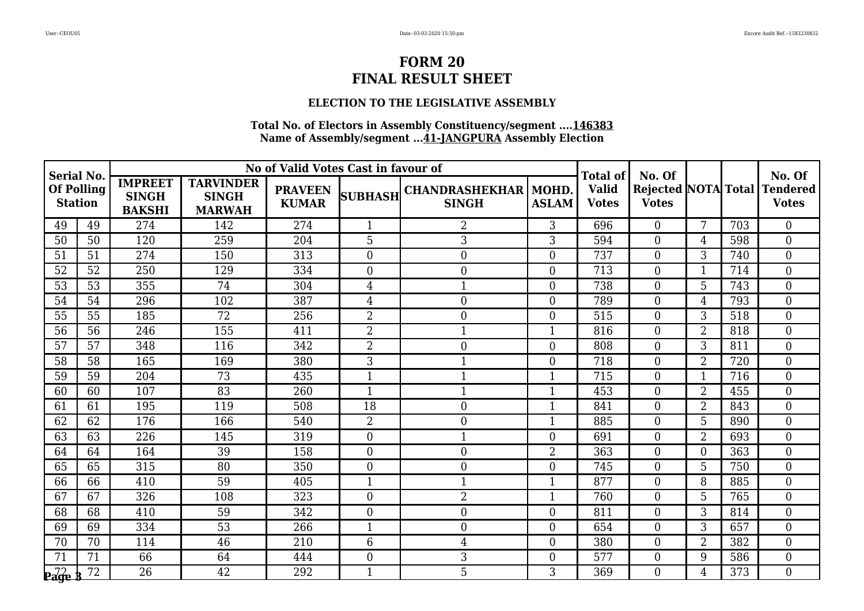### **ELECTION TO THE LEGISLATIVE ASSEMBLY**

| <b>Serial No.</b><br><b>Of Polling</b><br><b>Station</b> |    |                                                 |                                                   | No of Valid Votes Cast in favour of |                  |                                              |                | <b>Total of</b>              | No. Of         |                 |     | No. Of                                              |
|----------------------------------------------------------|----|-------------------------------------------------|---------------------------------------------------|-------------------------------------|------------------|----------------------------------------------|----------------|------------------------------|----------------|-----------------|-----|-----------------------------------------------------|
|                                                          |    | <b>IMPREET</b><br><b>SINGH</b><br><b>BAKSHI</b> | <b>TARVINDER</b><br><b>SINGH</b><br><b>MARWAH</b> | <b>PRAVEEN</b><br><b>KUMAR</b>      |                  | SUBHASH CHANDRASHEKHAR MOHD.<br><b>SINGH</b> | <b>ASLAM</b>   | <b>Valid</b><br><b>Votes</b> | <b>Votes</b>   |                 |     | <b>Rejected NOTA Total Tendered</b><br><b>Votes</b> |
| 49                                                       | 49 | 274                                             | 142                                               | 274                                 | $\mathbf{1}$     | 2                                            | 3              | 696                          | $\Omega$       | 7               | 703 | $\theta$                                            |
| 50                                                       | 50 | 120                                             | 259                                               | 204                                 | 5                | 3                                            | 3              | 594                          | $\Omega$       | 4               | 598 | $\overline{0}$                                      |
| 51                                                       | 51 | 274                                             | 150                                               | 313                                 | $\overline{0}$   | $\boldsymbol{0}$                             | $\overline{0}$ | 737                          | $\overline{0}$ | 3               | 740 | $\mathbf{0}$                                        |
| 52                                                       | 52 | 250                                             | 129                                               | 334                                 | $\overline{0}$   | 0                                            | $\overline{0}$ | 713                          | $\Omega$       | $\mathbf{1}$    | 714 | $\mathbf{0}$                                        |
| 53                                                       | 53 | 355                                             | 74                                                | 304                                 | 4                | $\mathbf{1}$                                 | $\overline{0}$ | 738                          | $\overline{0}$ | 5               | 743 | $\overline{0}$                                      |
| 54                                                       | 54 | 296                                             | 102                                               | 387                                 | $\overline{4}$   | $\overline{0}$                               | $\overline{0}$ | 789                          | $\overline{0}$ | 4               | 793 | $\mathbf{0}$                                        |
| 55                                                       | 55 | 185                                             | 72                                                | 256                                 | 2                | 0                                            | $\Omega$       | 515                          | $\Omega$       | 3               | 518 | $\overline{0}$                                      |
| 56                                                       | 56 | 246                                             | 155                                               | 411                                 | $\overline{2}$   | 1                                            |                | 816                          | $\overline{0}$ | $\overline{2}$  | 818 | $\overline{0}$                                      |
| 57                                                       | 57 | 348                                             | 116                                               | 342                                 | 2                | $\overline{0}$                               | $\overline{0}$ | 808                          | $\overline{0}$ | 3               | 811 | $\mathbf{0}$                                        |
| 58                                                       | 58 | 165                                             | 169                                               | 380                                 | 3                | 1                                            | $\Omega$       | 718                          | $\Omega$       | $\overline{2}$  | 720 | $\overline{0}$                                      |
| 59                                                       | 59 | 204                                             | 73                                                | 435                                 | 1                | 1                                            |                | 715                          | $\overline{0}$ |                 | 716 | $\overline{0}$                                      |
| 60                                                       | 60 | 107                                             | 83                                                | 260                                 | 1                | $\mathbf{1}$                                 |                | 453                          | 0              | $\overline{2}$  | 455 | $\mathbf{0}$                                        |
| 61                                                       | 61 | 195                                             | 119                                               | 508                                 | 18               | $\boldsymbol{0}$                             | $\mathbf{1}$   | 841                          | $\overline{0}$ | $\overline{2}$  | 843 | $\boldsymbol{0}$                                    |
| 62                                                       | 62 | 176                                             | 166                                               | 540                                 | $\overline{2}$   | $\overline{0}$                               | $\mathbf 1$    | 885                          | $\overline{0}$ | 5               | 890 | $\overline{0}$                                      |
| 63                                                       | 63 | 226                                             | 145                                               | 319                                 | $\overline{0}$   | $\mathbf{1}$                                 | $\Omega$       | 691                          | $\overline{0}$ | $\overline{2}$  | 693 | $\overline{0}$                                      |
| 64                                                       | 64 | 164                                             | 39                                                | 158                                 | $\overline{0}$   | 0                                            | 2              | 363                          | $\overline{0}$ | $\theta$        | 363 | $\boldsymbol{0}$                                    |
| 65                                                       | 65 | 315                                             | 80                                                | 350                                 | $\boldsymbol{0}$ | $\boldsymbol{0}$                             | $\Omega$       | 745                          | $\Omega$       | $5\phantom{.0}$ | 750 | $\boldsymbol{0}$                                    |
| 66                                                       | 66 | 410                                             | 59                                                | 405                                 | 1                | $\mathbf{1}$                                 | $\mathbf 1$    | 877                          | $\overline{0}$ | 8               | 885 | $\overline{0}$                                      |
| 67                                                       | 67 | 326                                             | 108                                               | 323                                 | $\overline{0}$   | $\overline{2}$                               |                | 760                          | $\Omega$       | 5               | 765 | $\overline{0}$                                      |
| 68                                                       | 68 | 410                                             | 59                                                | 342                                 | $\boldsymbol{0}$ | $\boldsymbol{0}$                             | $\overline{0}$ | 811                          | $\Omega$       | 3               | 814 | $\boldsymbol{0}$                                    |
| 69                                                       | 69 | 334                                             | 53                                                | 266                                 | $\mathbf{1}$     | $\overline{0}$                               | $\Omega$       | 654                          | $\overline{0}$ | 3               | 657 | $\overline{0}$                                      |
| 70                                                       | 70 | 114                                             | 46                                                | 210                                 | 6                | 4                                            | $\Omega$       | 380                          | $\Omega$       | $\overline{2}$  | 382 | $\mathbf{0}$                                        |
| 71                                                       | 71 | 66                                              | 64                                                | 444                                 | $\boldsymbol{0}$ | 3                                            | $\overline{0}$ | 577                          | $\overline{0}$ | 9               | 586 | $\mathbf{0}$                                        |
| $\mathbf{p}$ age                                         | 72 | 26                                              | 42                                                | 292                                 | $\mathbf{1}$     | 5                                            | 3              | 369                          | 0              | 4               | 373 | $\theta$                                            |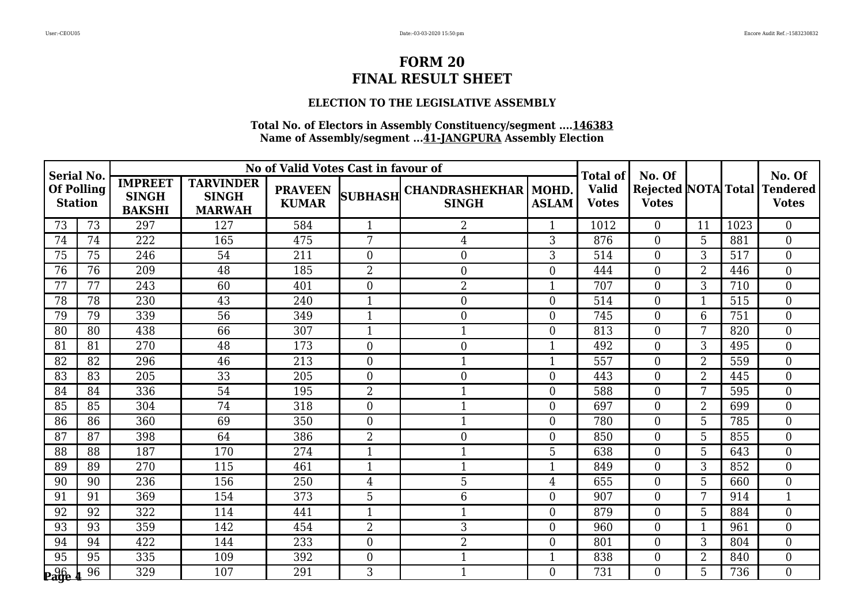### **ELECTION TO THE LEGISLATIVE ASSEMBLY**

| <b>Serial No.</b><br><b>Of Polling</b><br><b>Station</b> |    |                                                 |                                                   | No of Valid Votes Cast in favour of |                  |                                              |                | <b>Total of</b>              | No. Of         |                |      | No. Of                                       |
|----------------------------------------------------------|----|-------------------------------------------------|---------------------------------------------------|-------------------------------------|------------------|----------------------------------------------|----------------|------------------------------|----------------|----------------|------|----------------------------------------------|
|                                                          |    | <b>IMPREET</b><br><b>SINGH</b><br><b>BAKSHI</b> | <b>TARVINDER</b><br><b>SINGH</b><br><b>MARWAH</b> | <b>PRAVEEN</b><br><b>KUMAR</b>      |                  | SUBHASH CHANDRASHEKHAR MOHD.<br><b>SINGH</b> | <b>ASLAM</b>   | <b>Valid</b><br><b>Votes</b> | <b>Votes</b>   |                |      | Rejected NOTA Total Tendered<br><b>Votes</b> |
| 73                                                       | 73 | 297                                             | 127                                               | 584                                 | $\mathbf{1}$     | 2                                            | 1              | 1012                         | $\Omega$       | 11             | 1023 | $\theta$                                     |
| 74                                                       | 74 | 222                                             | 165                                               | 475                                 | 7                | 4                                            | 3              | 876                          | $\Omega$       | 5              | 881  | $\boldsymbol{0}$                             |
| 75                                                       | 75 | 246                                             | 54                                                | 211                                 | $\overline{0}$   | $\boldsymbol{0}$                             | 3              | 514                          | $\overline{0}$ | 3              | 517  | $\boldsymbol{0}$                             |
| 76                                                       | 76 | 209                                             | 48                                                | 185                                 | 2                | 0                                            | $\overline{0}$ | 444                          | $\overline{0}$ | $\overline{2}$ | 446  | $\overline{0}$                               |
| 77                                                       | 77 | 243                                             | 60                                                | 401                                 | $\mathbf{0}$     | $\overline{2}$                               |                | 707                          | $\overline{0}$ | 3              | 710  | $\overline{0}$                               |
| 78                                                       | 78 | 230                                             | 43                                                | 240                                 | $\mathbf{1}$     | $\overline{0}$                               | $\overline{0}$ | 514                          | 0              |                | 515  | $\overline{0}$                               |
| 79                                                       | 79 | 339                                             | 56                                                | 349                                 | $\mathbf{1}$     | $\overline{0}$                               | $\Omega$       | 745                          | $\Omega$       | 6              | 751  | $\overline{0}$                               |
| 80                                                       | 80 | 438                                             | 66                                                | 307                                 | 1                | $\mathbf{1}$                                 | $\Omega$       | 813                          | $\Omega$       | 7              | 820  | $\overline{0}$                               |
| 81                                                       | 81 | 270                                             | 48                                                | 173                                 | $\mathbf{0}$     | $\overline{0}$                               |                | 492                          | $\overline{0}$ | 3              | 495  | $\boldsymbol{0}$                             |
| 82                                                       | 82 | 296                                             | 46                                                | 213                                 | $\overline{0}$   | 1                                            | 1              | 557                          | $\Omega$       | $\overline{2}$ | 559  | $\overline{0}$                               |
| 83                                                       | 83 | 205                                             | 33                                                | 205                                 | $\mathbf{0}$     | 0                                            | $\overline{0}$ | 443                          | 0              | $\overline{2}$ | 445  | $\overline{0}$                               |
| 84                                                       | 84 | 336                                             | 54                                                | 195                                 | $\overline{2}$   | $\mathbf{1}$                                 | $\overline{0}$ | 588                          | 0              | 7              | 595  | $\boldsymbol{0}$                             |
| 85                                                       | 85 | 304                                             | 74                                                | 318                                 | $\overline{0}$   | 1                                            | $\overline{0}$ | 697                          | $\Omega$       | $\overline{2}$ | 699  | $\boldsymbol{0}$                             |
| 86                                                       | 86 | 360                                             | 69                                                | 350                                 | $\boldsymbol{0}$ | 1                                            | $\overline{0}$ | 780                          | $\Omega$       | 5              | 785  | $\mathbf{0}$                                 |
| 87                                                       | 87 | 398                                             | 64                                                | 386                                 | $\overline{2}$   | $\mathbf 0$                                  | $\theta$       | 850                          | 0              | 5              | 855  | $\mathbf{0}$                                 |
| 88                                                       | 88 | 187                                             | 170                                               | 274                                 | $\mathbf{1}$     | $\mathbf 1$                                  | 5              | 638                          | $\overline{0}$ | 5              | 643  | $\boldsymbol{0}$                             |
| 89                                                       | 89 | 270                                             | 115                                               | 461                                 | 1                | $\mathbf{1}$                                 | $\mathbf 1$    | 849                          | $\overline{0}$ | 3              | 852  | $\boldsymbol{0}$                             |
| 90                                                       | 90 | 236                                             | 156                                               | 250                                 | 4                | 5                                            | 4              | 655                          | $\overline{0}$ | 5              | 660  | $\theta$                                     |
| 91                                                       | 91 | 369                                             | 154                                               | 373                                 | 5                | 6                                            | $\overline{0}$ | 907                          | $\overline{0}$ | 7              | 914  | $\mathbf{1}$                                 |
| 92                                                       | 92 | 322                                             | 114                                               | 441                                 | 1                | $\mathbf{1}$                                 | $\overline{0}$ | 879                          | $\overline{0}$ | 5              | 884  | $\boldsymbol{0}$                             |
| 93                                                       | 93 | 359                                             | 142                                               | 454                                 | $\overline{2}$   | 3                                            | $\Omega$       | 960                          | 0              | $\mathbf{1}$   | 961  | $\overline{0}$                               |
| 94                                                       | 94 | 422                                             | 144                                               | 233                                 | $\mathbf{0}$     | 2                                            | $\Omega$       | 801                          | $\overline{0}$ | 3              | 804  | $\boldsymbol{0}$                             |
| 95                                                       | 95 | 335                                             | 109                                               | 392                                 | $\overline{0}$   | $\mathbf{1}$                                 | $\mathbf 1$    | 838                          | $\overline{0}$ | $\overline{2}$ | 840  | $\mathbf{0}$                                 |
| <b>Page</b>                                              | 96 | 329                                             | 107                                               | 291                                 | 3                | $\mathbf{1}$                                 | $\Omega$       | 731                          | 0              | 5              | 736  | $\theta$                                     |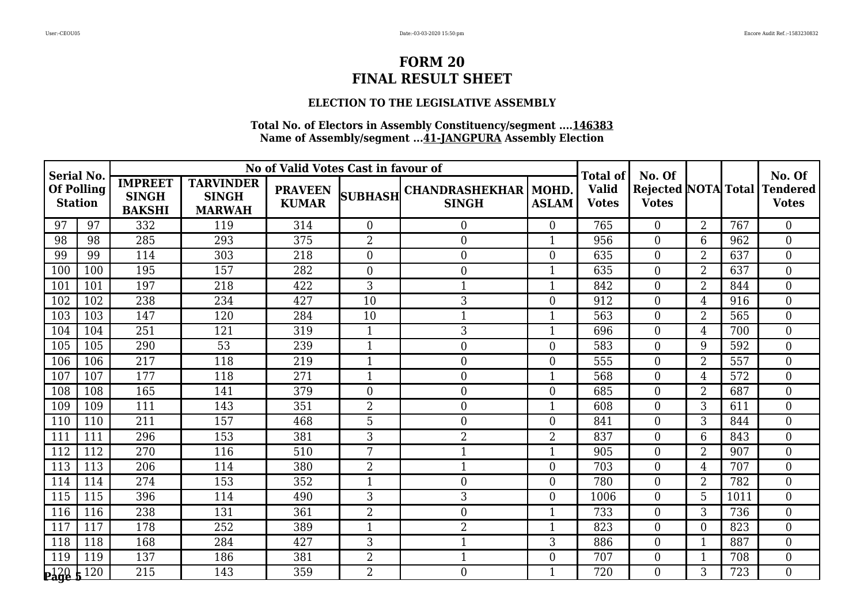### **ELECTION TO THE LEGISLATIVE ASSEMBLY**

| <b>Serial No.</b>                   |     |                                                 |                                                   | No of Valid Votes Cast in favour of |                |                                              |                | <b>Total of</b>              | No. Of         |                |      | No. Of                                       |
|-------------------------------------|-----|-------------------------------------------------|---------------------------------------------------|-------------------------------------|----------------|----------------------------------------------|----------------|------------------------------|----------------|----------------|------|----------------------------------------------|
| <b>Of Polling</b><br><b>Station</b> |     | <b>IMPREET</b><br><b>SINGH</b><br><b>BAKSHI</b> | <b>TARVINDER</b><br><b>SINGH</b><br><b>MARWAH</b> | <b>PRAVEEN</b><br><b>KUMAR</b>      |                | SUBHASH CHANDRASHEKHAR MOHD.<br><b>SINGH</b> | <b>ASLAM</b>   | <b>Valid</b><br><b>Votes</b> | <b>Votes</b>   |                |      | Rejected NOTA Total Tendered<br><b>Votes</b> |
| 97                                  | 97  | 332                                             | 119                                               | 314                                 | $\overline{0}$ | $\boldsymbol{0}$                             | $\Omega$       | 765                          | $\theta$       | $\overline{2}$ | 767  | $\overline{0}$                               |
| 98                                  | 98  | 285                                             | 293                                               | 375                                 | $\overline{2}$ | $\boldsymbol{0}$                             |                | 956                          | $\Omega$       | 6              | 962  | $\overline{0}$                               |
| 99                                  | 99  | 114                                             | 303                                               | 218                                 | $\overline{0}$ | $\boldsymbol{0}$                             | $\Omega$       | 635                          | $\theta$       | $\overline{2}$ | 637  | $\overline{0}$                               |
| 100                                 | 100 | 195                                             | 157                                               | 282                                 | $\overline{0}$ | $\boldsymbol{0}$                             |                | 635                          | $\Omega$       | $\overline{2}$ | 637  | $\overline{0}$                               |
| 101                                 | 101 | 197                                             | 218                                               | 422                                 | 3              | $\mathbf{1}$                                 | 1              | 842                          | $\theta$       | $\overline{2}$ | 844  | $\overline{0}$                               |
| 102                                 | 102 | 238                                             | 234                                               | 427                                 | 10             | 3                                            | $\Omega$       | 912                          | $\theta$       | $\overline{4}$ | 916  | $\boldsymbol{0}$                             |
| 103                                 | 103 | 147                                             | 120                                               | 284                                 | 10             | $\mathbf{1}$                                 |                | 563                          | $\theta$       | $\overline{2}$ | 565  | $\overline{0}$                               |
| 104                                 | 104 | 251                                             | 121                                               | 319                                 | 1              | 3                                            |                | 696                          | $\theta$       | 4              | 700  | $\overline{0}$                               |
| 105                                 | 105 | 290                                             | $\overline{53}$                                   | 239                                 | $\mathbf{1}$   | $\boldsymbol{0}$                             | $\Omega$       | 583                          | $\overline{0}$ | 9              | 592  | $\overline{0}$                               |
| 106                                 | 106 | $\overline{217}$                                | 118                                               | 219                                 | $\mathbf{1}$   | $\boldsymbol{0}$                             | $\Omega$       | 555                          | $\Omega$       | $\overline{2}$ | 557  | $\overline{0}$                               |
| 107                                 | 107 | 177                                             | 118                                               | 271                                 |                | $\boldsymbol{0}$                             | 1              | 568                          | $\Omega$       | 4              | 572  | $\overline{0}$                               |
| 108                                 | 108 | 165                                             | 141                                               | 379                                 | $\overline{0}$ | $\boldsymbol{0}$                             | $\Omega$       | 685                          | $\theta$       | $\overline{2}$ | 687  | $\overline{0}$                               |
| 109                                 | 109 | 111                                             | 143                                               | 351                                 | $\overline{2}$ | $\boldsymbol{0}$                             | 1              | 608                          | $\Omega$       | 3              | 611  | $\overline{0}$                               |
| 110                                 | 110 | 211                                             | 157                                               | 468                                 | 5              | $\boldsymbol{0}$                             | $\theta$       | 841                          | $\Omega$       | 3              | 844  | $\overline{0}$                               |
| 111                                 | 111 | 296                                             | 153                                               | 381                                 | 3              | $\overline{2}$                               | $\overline{2}$ | 837                          | $\overline{0}$ | 6              | 843  | $\overline{0}$                               |
| 112                                 | 112 | 270                                             | 116                                               | 510                                 | 7              | $\mathbf 1$                                  | 1              | 905                          | $\Omega$       | $\overline{2}$ | 907  | $\overline{0}$                               |
| 113                                 | 113 | 206                                             | 114                                               | 380                                 | 2              | $\mathbf{1}$                                 | $\Omega$       | 703                          | $\Omega$       | $\overline{4}$ | 707  | $\overline{0}$                               |
| 114                                 | 114 | 274                                             | 153                                               | 352                                 |                | $\boldsymbol{0}$                             | $\Omega$       | 780                          | $\Omega$       | $\overline{2}$ | 782  | $\overline{0}$                               |
| 115                                 | 115 | 396                                             | 114                                               | 490                                 | 3              | 3                                            | $\Omega$       | 1006                         | $\theta$       | 5              | 1011 | $\overline{0}$                               |
| 116                                 | 116 | 238                                             | 131                                               | 361                                 | $\overline{2}$ | $\boldsymbol{0}$                             |                | 733                          | $\Omega$       | 3              | 736  | $\overline{0}$                               |
| 117                                 | 117 | 178                                             | 252                                               | 389                                 | $\mathbf{1}$   | $\overline{2}$                               |                | 823                          | $\Omega$       | $\theta$       | 823  | $\overline{0}$                               |
| 118                                 | 118 | 168                                             | 284                                               | 427                                 | 3              | 1                                            | 3              | 886                          | $\Omega$       |                | 887  | $\boldsymbol{0}$                             |
| 119                                 | 119 | 137                                             | 186                                               | 381                                 | $\overline{2}$ | $\mathbf{1}$                                 | $\theta$       | 707                          | $\theta$       | 1              | 708  | $\overline{0}$                               |
| $P_4^{120}$ $\frac{120}{120}$       |     | 215                                             | 143                                               | 359                                 | $\overline{2}$ | $\theta$                                     |                | 720                          | $\Omega$       | 3              | 723  | $\Omega$                                     |